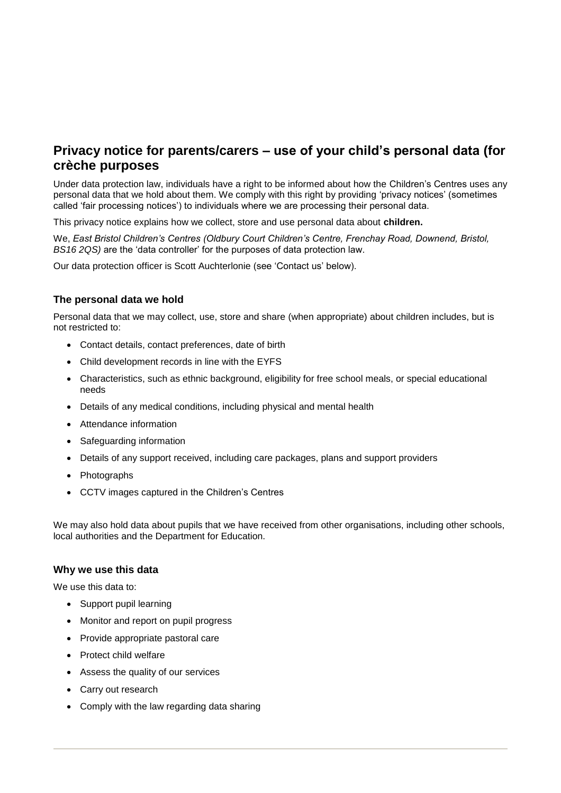# **Privacy notice for parents/carers – use of your child's personal data (for crèche purposes**

Under data protection law, individuals have a right to be informed about how the Children's Centres uses any personal data that we hold about them. We comply with this right by providing 'privacy notices' (sometimes called 'fair processing notices') to individuals where we are processing their personal data.

This privacy notice explains how we collect, store and use personal data about **children.**

We, *East Bristol Children's Centres (Oldbury Court Children's Centre, Frenchay Road, Downend, Bristol, BS16 2QS)* are the 'data controller' for the purposes of data protection law.

Our data protection officer is Scott Auchterlonie (see 'Contact us' below).

## **The personal data we hold**

Personal data that we may collect, use, store and share (when appropriate) about children includes, but is not restricted to:

- Contact details, contact preferences, date of birth
- Child development records in line with the EYFS
- Characteristics, such as ethnic background, eligibility for free school meals, or special educational needs
- Details of any medical conditions, including physical and mental health
- Attendance information
- Safeguarding information
- Details of any support received, including care packages, plans and support providers
- Photographs
- CCTV images captured in the Children's Centres

We may also hold data about pupils that we have received from other organisations, including other schools, local authorities and the Department for Education.

#### **Why we use this data**

We use this data to:

- Support pupil learning
- Monitor and report on pupil progress
- Provide appropriate pastoral care
- Protect child welfare
- Assess the quality of our services
- Carry out research
- Comply with the law regarding data sharing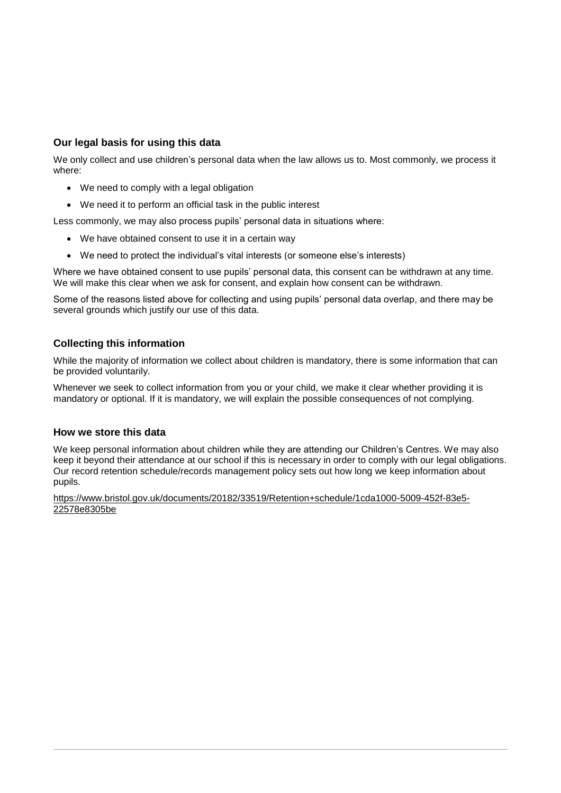# **Our legal basis for using this data**

We only collect and use children's personal data when the law allows us to. Most commonly, we process it where:

- We need to comply with a legal obligation
- We need it to perform an official task in the public interest

Less commonly, we may also process pupils' personal data in situations where:

- We have obtained consent to use it in a certain way
- We need to protect the individual's vital interests (or someone else's interests)

Where we have obtained consent to use pupils' personal data, this consent can be withdrawn at any time. We will make this clear when we ask for consent, and explain how consent can be withdrawn.

Some of the reasons listed above for collecting and using pupils' personal data overlap, and there may be several grounds which justify our use of this data.

## **Collecting this information**

While the majority of information we collect about children is mandatory, there is some information that can be provided voluntarily.

Whenever we seek to collect information from you or your child, we make it clear whether providing it is mandatory or optional. If it is mandatory, we will explain the possible consequences of not complying.

### **How we store this data**

We keep personal information about children while they are attending our Children's Centres. We may also keep it beyond their attendance at our school if this is necessary in order to comply with our legal obligations. Our record retention schedule/records management policy sets out how long we keep information about pupils.

[https://www.bristol.gov.uk/documents/20182/33519/Retention+schedule/1cda1000-5009-452f-83e5-](https://www.bristol.gov.uk/documents/20182/33519/Retention+schedule/1cda1000-5009-452f-83e5-22578e8305be) [22578e8305be](https://www.bristol.gov.uk/documents/20182/33519/Retention+schedule/1cda1000-5009-452f-83e5-22578e8305be)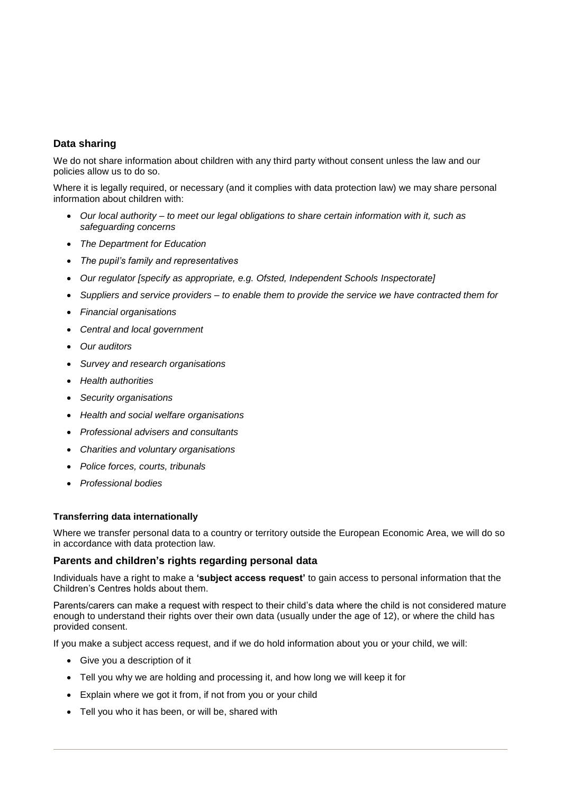# **Data sharing**

We do not share information about children with any third party without consent unless the law and our policies allow us to do so.

Where it is legally required, or necessary (and it complies with data protection law) we may share personal information about children with:

- *Our local authority – to meet our legal obligations to share certain information with it, such as safeguarding concerns*
- *The Department for Education*
- *The pupil's family and representatives*
- *Our regulator [specify as appropriate, e.g. Ofsted, Independent Schools Inspectorate]*
- *Suppliers and service providers – to enable them to provide the service we have contracted them for*
- *Financial organisations*
- *Central and local government*
- *Our auditors*
- *Survey and research organisations*
- *Health authorities*
- *Security organisations*
- *Health and social welfare organisations*
- *Professional advisers and consultants*
- *Charities and voluntary organisations*
- *Police forces, courts, tribunals*
- *Professional bodies*

#### **Transferring data internationally**

Where we transfer personal data to a country or territory outside the European Economic Area, we will do so in accordance with data protection law.

#### **Parents and children's rights regarding personal data**

Individuals have a right to make a **'subject access request'** to gain access to personal information that the Children's Centres holds about them.

Parents/carers can make a request with respect to their child's data where the child is not considered mature enough to understand their rights over their own data (usually under the age of 12), or where the child has provided consent.

If you make a subject access request, and if we do hold information about you or your child, we will:

- Give you a description of it
- Tell you why we are holding and processing it, and how long we will keep it for
- Explain where we got it from, if not from you or your child
- Tell you who it has been, or will be, shared with